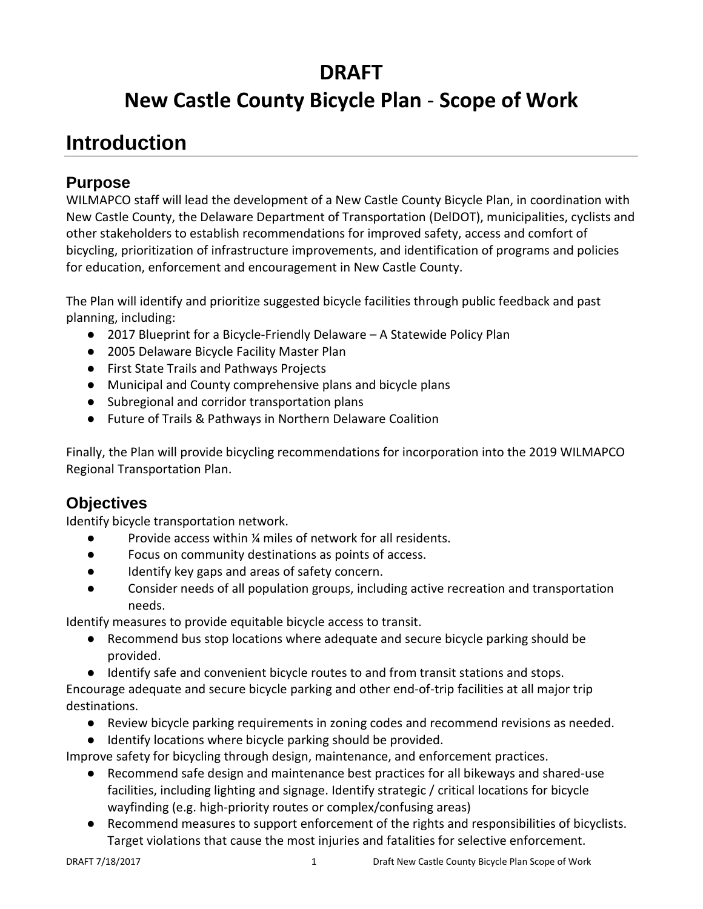## **DRAFT**

# **New Castle County Bicycle Plan** - **Scope of Work**

## **Introduction**

#### **Purpose**

WILMAPCO staff will lead the development of a New Castle County Bicycle Plan, in coordination with New Castle County, the Delaware Department of Transportation (DelDOT), municipalities, cyclists and other stakeholders to establish recommendations for improved safety, access and comfort of bicycling, prioritization of infrastructure improvements, and identification of programs and policies for education, enforcement and encouragement in New Castle County.

The Plan will identify and prioritize suggested bicycle facilities through public feedback and past planning, including:

- 2017 Blueprint for a Bicycle-Friendly Delaware A Statewide Policy Plan
- 2005 Delaware Bicycle Facility Master Plan
- First State Trails and Pathways Projects
- Municipal and County comprehensive plans and bicycle plans
- Subregional and corridor transportation plans
- Future of Trails & Pathways in Northern Delaware Coalition

Finally, the Plan will provide bicycling recommendations for incorporation into the 2019 WILMAPCO Regional Transportation Plan.

### **Objectives**

Identify bicycle transportation network.

- Provide access within ¼ miles of network for all residents.
- Focus on community destinations as points of access.
- Identify key gaps and areas of safety concern.
- Consider needs of all population groups, including active recreation and transportation needs.

Identify measures to provide equitable bicycle access to transit.

- Recommend bus stop locations where adequate and secure bicycle parking should be provided.
- Identify safe and convenient bicycle routes to and from transit stations and stops.

Encourage adequate and secure bicycle parking and other end-of-trip facilities at all major trip destinations.

- Review bicycle parking requirements in zoning codes and recommend revisions as needed.
- Identify locations where bicycle parking should be provided.

Improve safety for bicycling through design, maintenance, and enforcement practices.

- Recommend safe design and maintenance best practices for all bikeways and shared-use facilities, including lighting and signage. Identify strategic / critical locations for bicycle wayfinding (e.g. high-priority routes or complex/confusing areas)
- Recommend measures to support enforcement of the rights and responsibilities of bicyclists. Target violations that cause the most injuries and fatalities for selective enforcement.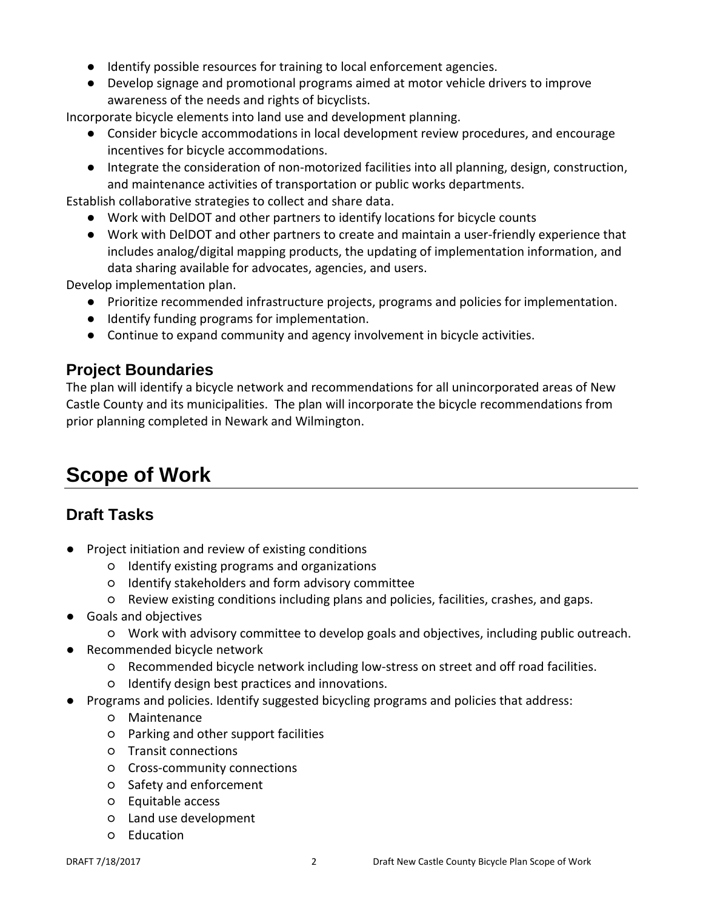- Identify possible resources for training to local enforcement agencies.
- Develop signage and promotional programs aimed at motor vehicle drivers to improve awareness of the needs and rights of bicyclists.

Incorporate bicycle elements into land use and development planning.

- Consider bicycle accommodations in local development review procedures, and encourage incentives for bicycle accommodations.
- Integrate the consideration of non-motorized facilities into all planning, design, construction, and maintenance activities of transportation or public works departments.

Establish collaborative strategies to collect and share data.

- Work with DelDOT and other partners to identify locations for bicycle counts
- Work with DelDOT and other partners to create and maintain a user-friendly experience that includes analog/digital mapping products, the updating of implementation information, and data sharing available for advocates, agencies, and users.

Develop implementation plan.

- Prioritize recommended infrastructure projects, programs and policies for implementation.
- Identify funding programs for implementation.
- Continue to expand community and agency involvement in bicycle activities.

#### **Project Boundaries**

The plan will identify a bicycle network and recommendations for all unincorporated areas of New Castle County and its municipalities. The plan will incorporate the bicycle recommendations from prior planning completed in Newark and Wilmington.

## **Scope of Work**

#### **Draft Tasks**

- Project initiation and review of existing conditions
	- Identify existing programs and organizations
	- Identify stakeholders and form advisory committee
	- Review existing conditions including plans and policies, facilities, crashes, and gaps.
- Goals and objectives
	- Work with advisory committee to develop goals and objectives, including public outreach.
- Recommended bicycle network
	- Recommended bicycle network including low-stress on street and off road facilities.
	- Identify design best practices and innovations.
- Programs and policies. Identify suggested bicycling programs and policies that address:
	- Maintenance
	- Parking and other support facilities
	- Transit connections
	- Cross-community connections
	- Safety and enforcement
	- Equitable access
	- Land use development
	- Education